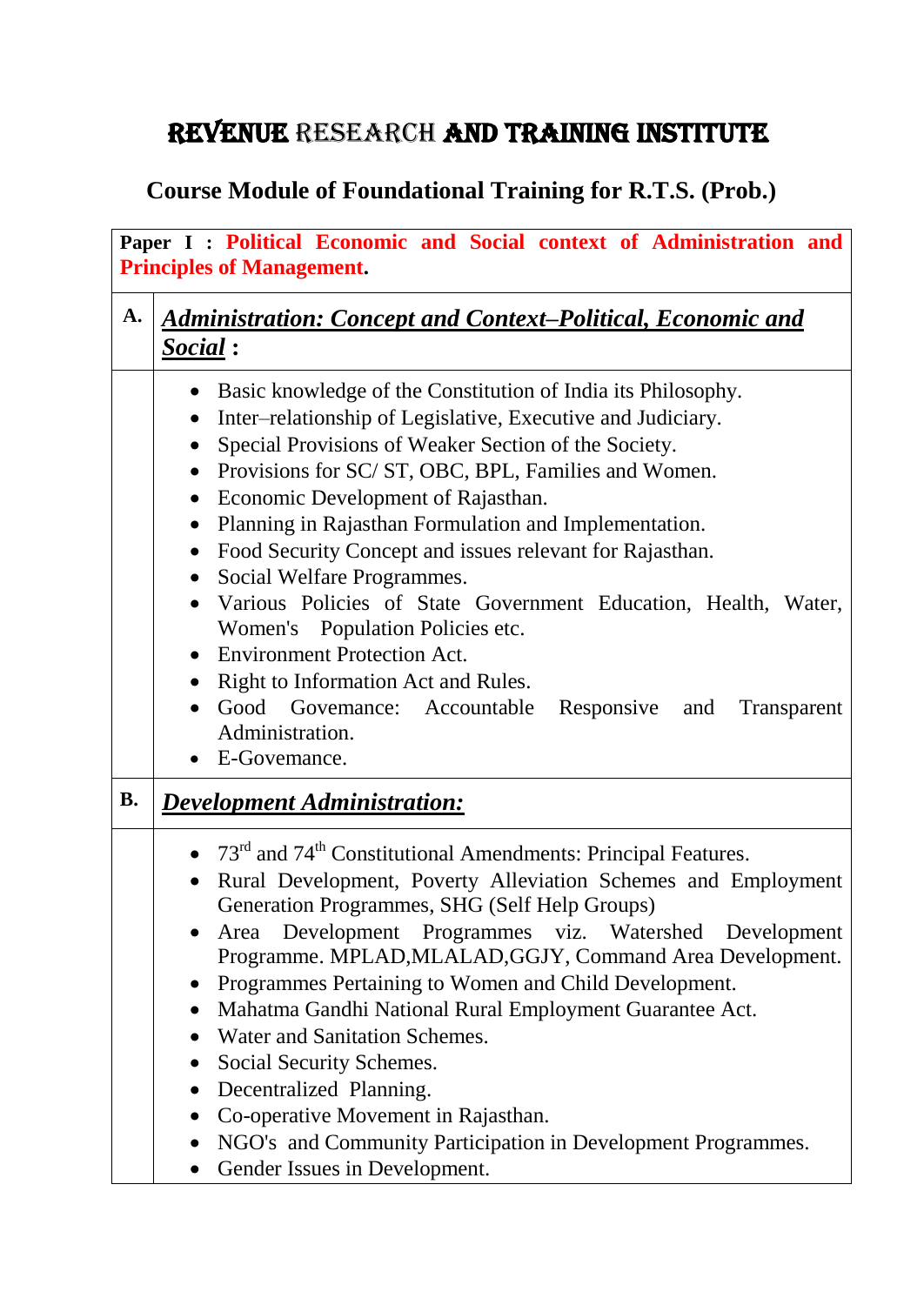## REVENUE RESEARCH AND TRAINING INSTITUTE

## **Course Module of Foundational Training for R.T.S. (Prob.)**

| Paper I : Political Economic and Social context of Administration and<br><b>Principles of Management.</b> |                                                                                                                                                                                                                                                                                                                                                                                                                                                                                                                                                                                                                                                                                                                                                                                                                                                                       |  |
|-----------------------------------------------------------------------------------------------------------|-----------------------------------------------------------------------------------------------------------------------------------------------------------------------------------------------------------------------------------------------------------------------------------------------------------------------------------------------------------------------------------------------------------------------------------------------------------------------------------------------------------------------------------------------------------------------------------------------------------------------------------------------------------------------------------------------------------------------------------------------------------------------------------------------------------------------------------------------------------------------|--|
| A.                                                                                                        | <b>Administration: Concept and Context-Political, Economic and</b><br>Social:                                                                                                                                                                                                                                                                                                                                                                                                                                                                                                                                                                                                                                                                                                                                                                                         |  |
|                                                                                                           | Basic knowledge of the Constitution of India its Philosophy.<br>$\bullet$<br>Inter-relationship of Legislative, Executive and Judiciary.<br>$\bullet$<br>Special Provisions of Weaker Section of the Society.<br>$\bullet$<br>Provisions for SC/ST, OBC, BPL, Families and Women.<br>$\bullet$<br>Economic Development of Rajasthan.<br>$\bullet$<br>Planning in Rajasthan Formulation and Implementation.<br>$\bullet$<br>Food Security Concept and issues relevant for Rajasthan.<br>$\bullet$<br>Social Welfare Programmes.<br>$\bullet$<br>Various Policies of State Government Education, Health, Water,<br>$\bullet$<br>Women's Population Policies etc.<br><b>Environment Protection Act.</b><br>Right to Information Act and Rules.<br>$\bullet$<br>Good Govemance: Accountable Responsive and<br>Transparent<br>$\bullet$<br>Administration.<br>E-Govemance. |  |
| <b>B.</b>                                                                                                 | <b>Development Administration:</b>                                                                                                                                                                                                                                                                                                                                                                                                                                                                                                                                                                                                                                                                                                                                                                                                                                    |  |
|                                                                                                           | • 73 <sup>rd</sup> and 74 <sup>th</sup> Constitutional Amendments: Principal Features.<br>Rural Development, Poverty Alleviation Schemes and Employment<br>$\bullet$<br>Generation Programmes, SHG (Self Help Groups)<br>Development Programmes viz. Watershed Development<br>Area<br>Programme. MPLAD, MLALAD, GGJY, Command Area Development.<br>Programmes Pertaining to Women and Child Development.<br>$\bullet$<br>Mahatma Gandhi National Rural Employment Guarantee Act.<br>Water and Sanitation Schemes.<br>Social Security Schemes.<br>$\bullet$<br>Decentralized Planning.<br>$\bullet$<br>Co-operative Movement in Rajasthan.<br>$\bullet$<br>NGO's and Community Participation in Development Programmes.<br>$\bullet$<br>Gender Issues in Development.<br>$\bullet$                                                                                     |  |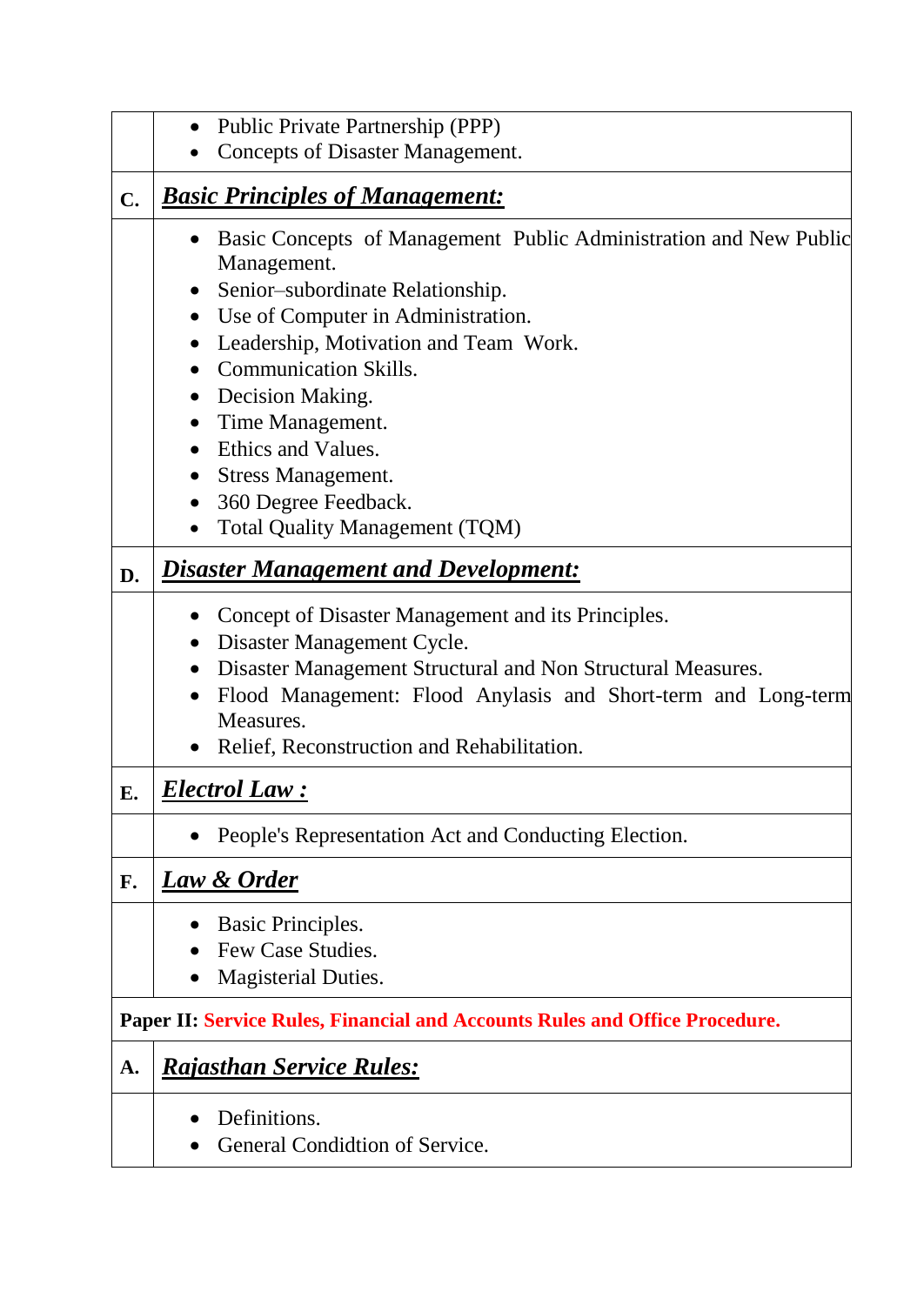|    | Public Private Partnership (PPP)<br>$\bullet$<br>Concepts of Disaster Management.                                                                                                                                                                                                                                                                                                                                                                                                                                                 |  |  |
|----|-----------------------------------------------------------------------------------------------------------------------------------------------------------------------------------------------------------------------------------------------------------------------------------------------------------------------------------------------------------------------------------------------------------------------------------------------------------------------------------------------------------------------------------|--|--|
| C. | <b>Basic Principles of Management:</b>                                                                                                                                                                                                                                                                                                                                                                                                                                                                                            |  |  |
|    | Basic Concepts of Management Public Administration and New Public<br>$\bullet$<br>Management.<br>Senior-subordinate Relationship.<br>$\bullet$<br>Use of Computer in Administration.<br>$\bullet$<br>Leadership, Motivation and Team Work.<br>$\bullet$<br><b>Communication Skills.</b><br>$\bullet$<br>Decision Making.<br>$\bullet$<br>Time Management.<br>$\bullet$<br>Ethics and Values.<br><b>Stress Management.</b><br>$\bullet$<br>360 Degree Feedback.<br>$\bullet$<br><b>Total Quality Management (TQM)</b><br>$\bullet$ |  |  |
| D. | <b>Disaster Management and Development:</b>                                                                                                                                                                                                                                                                                                                                                                                                                                                                                       |  |  |
|    | Concept of Disaster Management and its Principles.<br>Disaster Management Cycle.<br>$\bullet$<br>Disaster Management Structural and Non Structural Measures.<br>$\bullet$<br>Flood Management: Flood Anylasis and Short-term and Long-term<br>$\bullet$<br>Measures.<br>Relief, Reconstruction and Rehabilitation.                                                                                                                                                                                                                |  |  |
| Е. | <b>Electrol Law:</b>                                                                                                                                                                                                                                                                                                                                                                                                                                                                                                              |  |  |
|    | People's Representation Act and Conducting Election.<br>$\bullet$                                                                                                                                                                                                                                                                                                                                                                                                                                                                 |  |  |
| F. | <u>Law &amp; Order</u>                                                                                                                                                                                                                                                                                                                                                                                                                                                                                                            |  |  |
|    | Basic Principles.<br>Few Case Studies.<br><b>Magisterial Duties.</b>                                                                                                                                                                                                                                                                                                                                                                                                                                                              |  |  |
|    | <b>Paper II: Service Rules, Financial and Accounts Rules and Office Procedure.</b>                                                                                                                                                                                                                                                                                                                                                                                                                                                |  |  |
| A. | <b>Rajasthan Service Rules:</b>                                                                                                                                                                                                                                                                                                                                                                                                                                                                                                   |  |  |
|    | Definitions.<br>General Condidtion of Service.                                                                                                                                                                                                                                                                                                                                                                                                                                                                                    |  |  |

 $\overline{\phantom{0}}$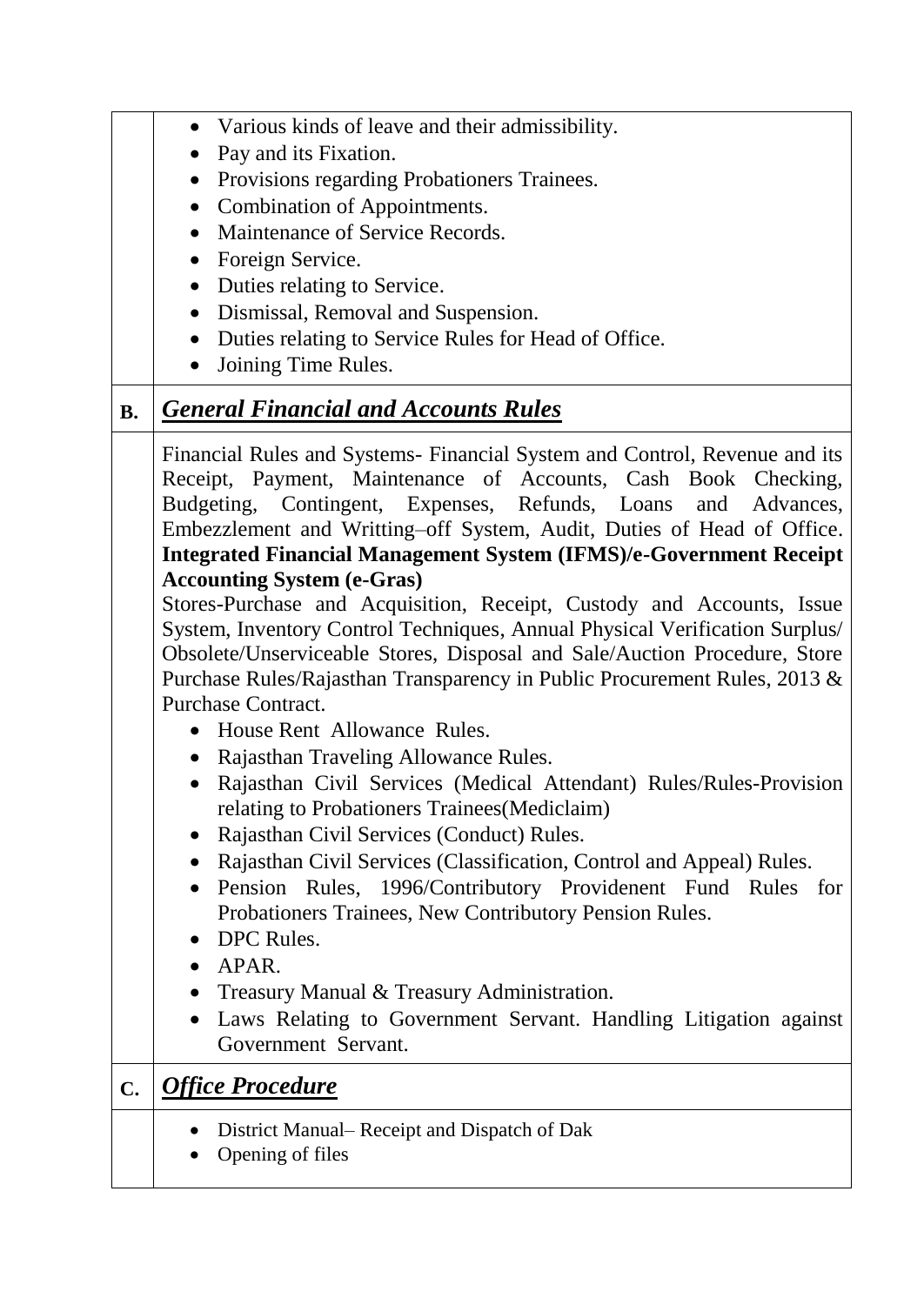|                | Various kinds of leave and their admissibility.                               |
|----------------|-------------------------------------------------------------------------------|
|                | Pay and its Fixation.<br>$\bullet$                                            |
|                | Provisions regarding Probationers Trainees.<br>$\bullet$                      |
|                | Combination of Appointments.<br>$\bullet$                                     |
|                | Maintenance of Service Records.                                               |
|                | Foreign Service.                                                              |
|                | Duties relating to Service.                                                   |
|                | Dismissal, Removal and Suspension.<br>$\bullet$                               |
|                | Duties relating to Service Rules for Head of Office.<br>$\bullet$             |
|                | Joining Time Rules.<br>$\bullet$                                              |
| <b>B.</b>      | <b>General Financial and Accounts Rules</b>                                   |
|                | Financial Rules and Systems- Financial System and Control, Revenue and its    |
|                | Receipt, Payment, Maintenance of Accounts, Cash Book Checking,                |
|                | Budgeting, Contingent, Expenses, Refunds, Loans and Advances,                 |
|                | Embezzlement and Writting-off System, Audit, Duties of Head of Office.        |
|                | <b>Integrated Financial Management System (IFMS)/e-Government Receipt</b>     |
|                | <b>Accounting System (e-Gras)</b>                                             |
|                | Stores-Purchase and Acquisition, Receipt, Custody and Accounts, Issue         |
|                | System, Inventory Control Techniques, Annual Physical Verification Surplus/   |
|                | Obsolete/Unserviceable Stores, Disposal and Sale/Auction Procedure, Store     |
|                | Purchase Rules/Rajasthan Transparency in Public Procurement Rules, 2013 &     |
|                | Purchase Contract.                                                            |
|                | House Rent Allowance Rules.                                                   |
|                | Rajasthan Traveling Allowance Rules.                                          |
|                | Rajasthan Civil Services (Medical Attendant) Rules/Rules-Provision            |
|                | relating to Probationers Trainees (Mediclaim)                                 |
|                | Rajasthan Civil Services (Conduct) Rules.                                     |
|                | Rajasthan Civil Services (Classification, Control and Appeal) Rules.          |
|                | Pension Rules, 1996/Contributory Providenent Fund Rules for                   |
|                | Probationers Trainees, New Contributory Pension Rules.                        |
|                | DPC Rules.                                                                    |
|                | APAR.                                                                         |
|                | Treasury Manual & Treasury Administration.                                    |
|                | Laws Relating to Government Servant. Handling Litigation against<br>$\bullet$ |
|                | Government Servant.                                                           |
| $\mathbf{C}$ . | <b>Office Procedure</b>                                                       |
|                | District Manual– Receipt and Dispatch of Dak                                  |
|                | Opening of files                                                              |
|                |                                                                               |